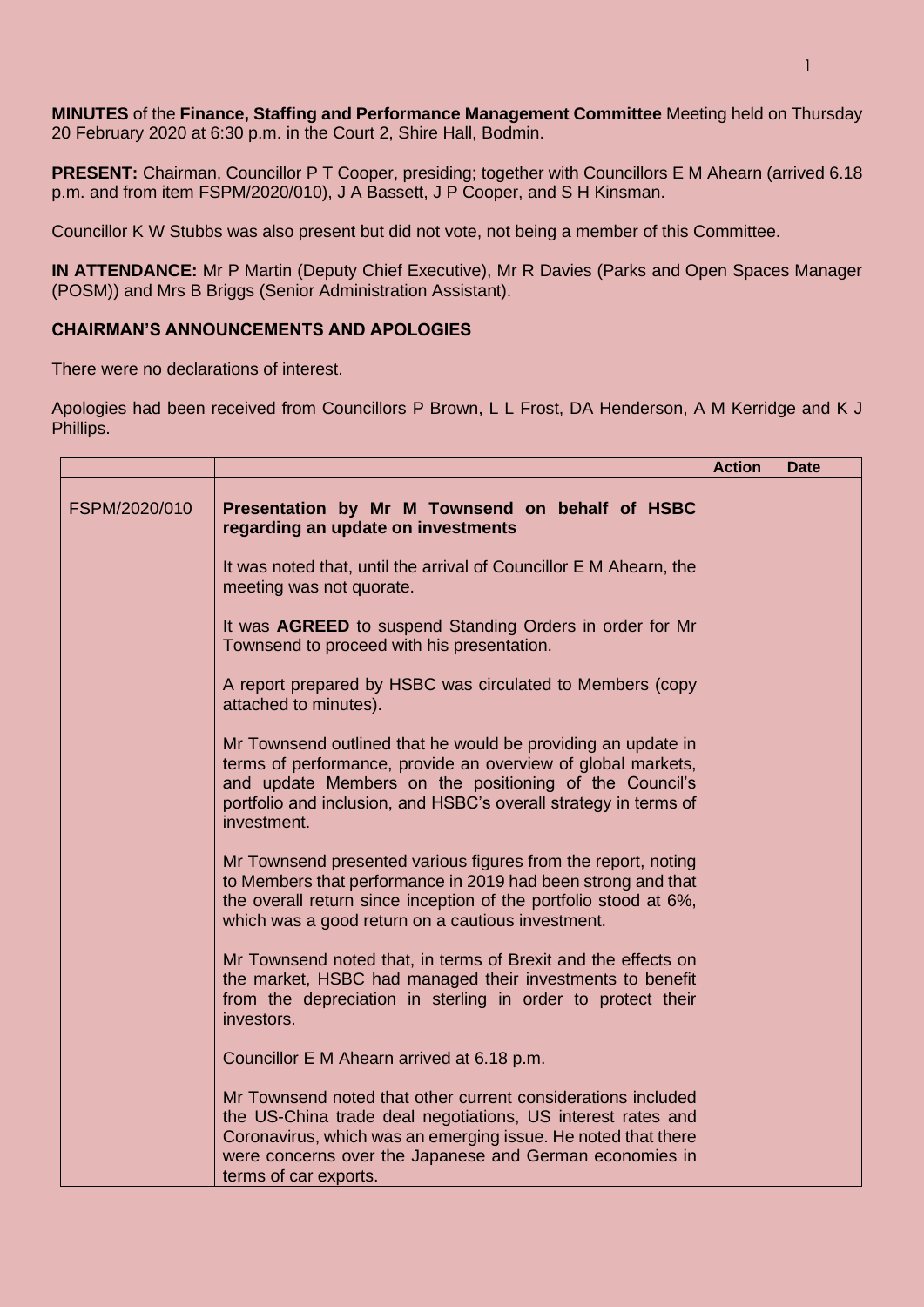**MINUTES** of the **Finance, Staffing and Performance Management Committee** Meeting held on Thursday 20 February 2020 at 6:30 p.m. in the Court 2, Shire Hall, Bodmin.

**PRESENT:** Chairman, Councillor P T Cooper, presiding; together with Councillors E M Ahearn (arrived 6.18 p.m. and from item FSPM/2020/010), J A Bassett, J P Cooper, and S H Kinsman.

Councillor K W Stubbs was also present but did not vote, not being a member of this Committee.

**IN ATTENDANCE:** Mr P Martin (Deputy Chief Executive), Mr R Davies (Parks and Open Spaces Manager (POSM)) and Mrs B Briggs (Senior Administration Assistant).

## **CHAIRMAN'S ANNOUNCEMENTS AND APOLOGIES**

There were no declarations of interest.

Apologies had been received from Councillors P Brown, L L Frost, DA Henderson, A M Kerridge and K J Phillips.

|               |                                                                                                                                                                                                                                                                                  | <b>Action</b> | <b>Date</b> |
|---------------|----------------------------------------------------------------------------------------------------------------------------------------------------------------------------------------------------------------------------------------------------------------------------------|---------------|-------------|
| FSPM/2020/010 | Presentation by Mr M Townsend on behalf of HSBC<br>regarding an update on investments                                                                                                                                                                                            |               |             |
|               | It was noted that, until the arrival of Councillor E M Ahearn, the<br>meeting was not quorate.                                                                                                                                                                                   |               |             |
|               | It was AGREED to suspend Standing Orders in order for Mr<br>Townsend to proceed with his presentation.                                                                                                                                                                           |               |             |
|               | A report prepared by HSBC was circulated to Members (copy<br>attached to minutes).                                                                                                                                                                                               |               |             |
|               | Mr Townsend outlined that he would be providing an update in<br>terms of performance, provide an overview of global markets,<br>and update Members on the positioning of the Council's<br>portfolio and inclusion, and HSBC's overall strategy in terms of<br>investment.        |               |             |
|               | Mr Townsend presented various figures from the report, noting<br>to Members that performance in 2019 had been strong and that<br>the overall return since inception of the portfolio stood at 6%,<br>which was a good return on a cautious investment.                           |               |             |
|               | Mr Townsend noted that, in terms of Brexit and the effects on<br>the market, HSBC had managed their investments to benefit<br>from the depreciation in sterling in order to protect their<br>investors.                                                                          |               |             |
|               | Councillor E M Ahearn arrived at 6.18 p.m.                                                                                                                                                                                                                                       |               |             |
|               | Mr Townsend noted that other current considerations included<br>the US-China trade deal negotiations, US interest rates and<br>Coronavirus, which was an emerging issue. He noted that there<br>were concerns over the Japanese and German economies in<br>terms of car exports. |               |             |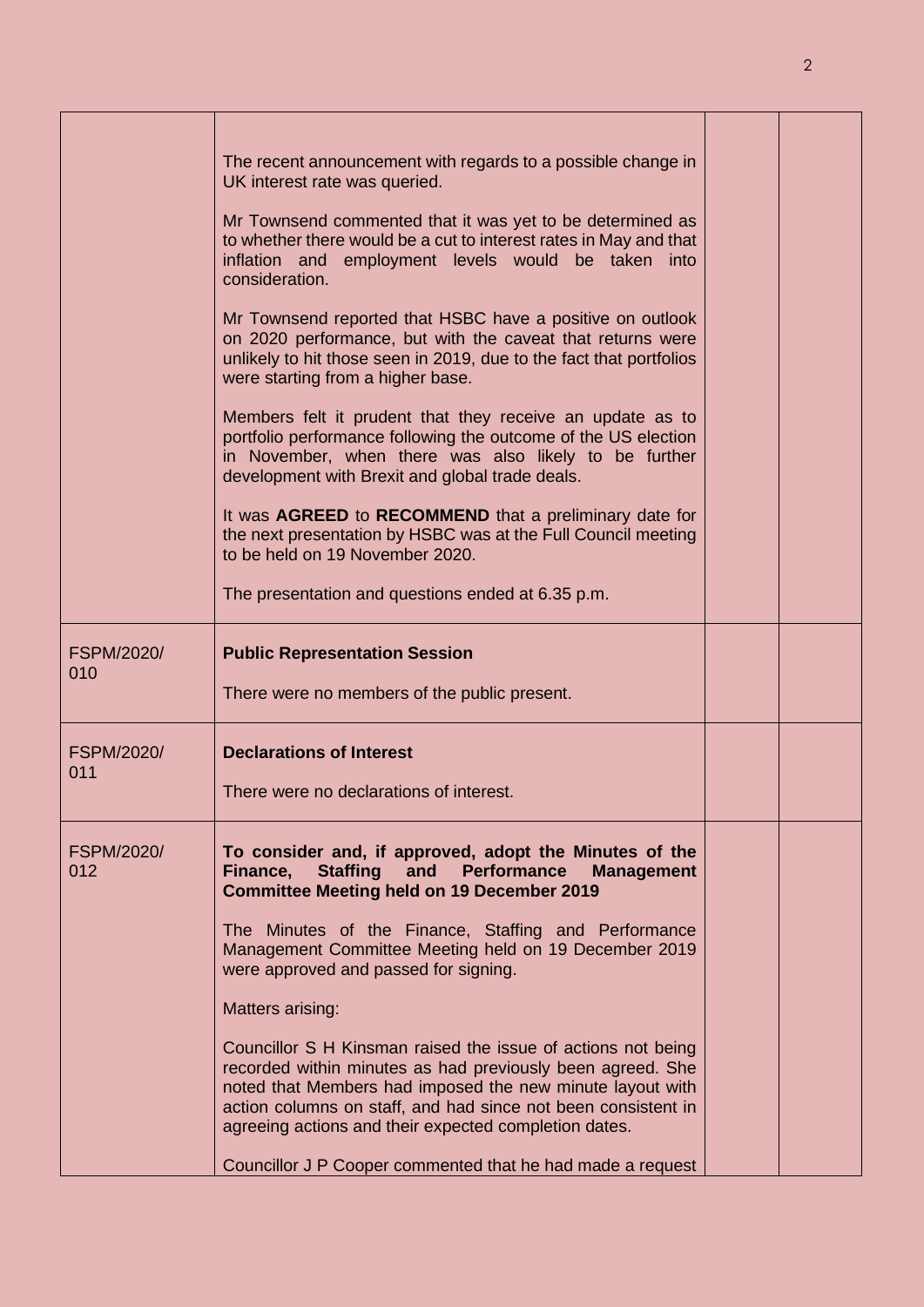|                          | The recent announcement with regards to a possible change in<br>UK interest rate was queried.<br>Mr Townsend commented that it was yet to be determined as<br>to whether there would be a cut to interest rates in May and that<br>inflation and employment levels would be taken into<br>consideration.<br>Mr Townsend reported that HSBC have a positive on outlook<br>on 2020 performance, but with the caveat that returns were<br>unlikely to hit those seen in 2019, due to the fact that portfolios<br>were starting from a higher base.<br>Members felt it prudent that they receive an update as to<br>portfolio performance following the outcome of the US election<br>in November, when there was also likely to be further<br>development with Brexit and global trade deals.<br>It was AGREED to RECOMMEND that a preliminary date for<br>the next presentation by HSBC was at the Full Council meeting<br>to be held on 19 November 2020. |  |
|--------------------------|----------------------------------------------------------------------------------------------------------------------------------------------------------------------------------------------------------------------------------------------------------------------------------------------------------------------------------------------------------------------------------------------------------------------------------------------------------------------------------------------------------------------------------------------------------------------------------------------------------------------------------------------------------------------------------------------------------------------------------------------------------------------------------------------------------------------------------------------------------------------------------------------------------------------------------------------------------|--|
|                          | The presentation and questions ended at 6.35 p.m.                                                                                                                                                                                                                                                                                                                                                                                                                                                                                                                                                                                                                                                                                                                                                                                                                                                                                                        |  |
| <b>FSPM/2020/</b><br>010 | <b>Public Representation Session</b><br>There were no members of the public present.                                                                                                                                                                                                                                                                                                                                                                                                                                                                                                                                                                                                                                                                                                                                                                                                                                                                     |  |
| <b>FSPM/2020/</b><br>011 | <b>Declarations of Interest</b><br>There were no declarations of interest.                                                                                                                                                                                                                                                                                                                                                                                                                                                                                                                                                                                                                                                                                                                                                                                                                                                                               |  |
| FSPM/2020/<br>012        | To consider and, if approved, adopt the Minutes of the<br>Staffing and Performance<br>Finance,<br><b>Management</b><br><b>Committee Meeting held on 19 December 2019</b><br>The Minutes of the Finance, Staffing and Performance<br>Management Committee Meeting held on 19 December 2019<br>were approved and passed for signing.<br>Matters arising:<br>Councillor S H Kinsman raised the issue of actions not being<br>recorded within minutes as had previously been agreed. She<br>noted that Members had imposed the new minute layout with<br>action columns on staff, and had since not been consistent in<br>agreeing actions and their expected completion dates.<br>Councillor J P Cooper commented that he had made a request                                                                                                                                                                                                                |  |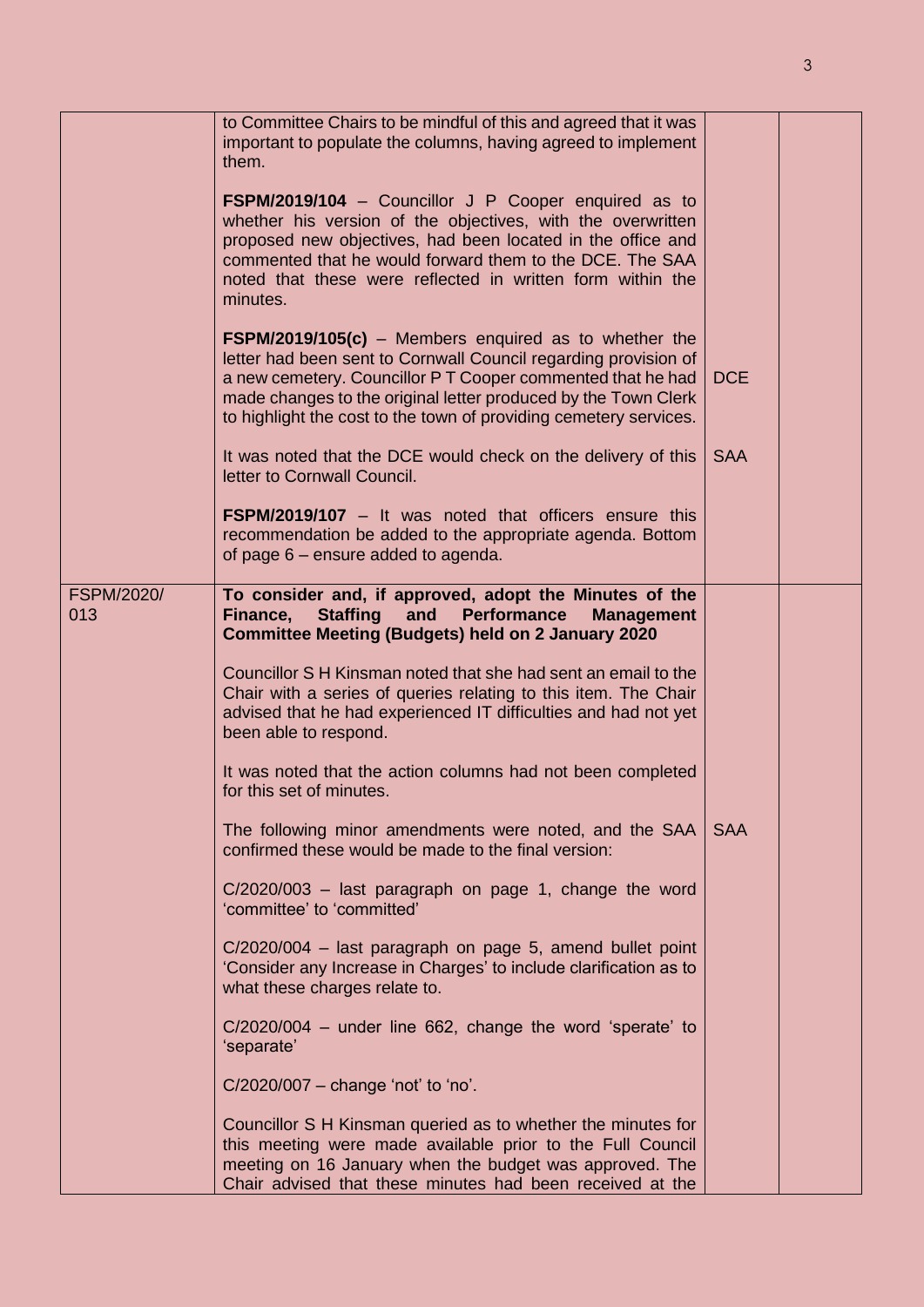|                   | to Committee Chairs to be mindful of this and agreed that it was<br>important to populate the columns, having agreed to implement<br>them.                                                                                                                                                                                      |            |  |
|-------------------|---------------------------------------------------------------------------------------------------------------------------------------------------------------------------------------------------------------------------------------------------------------------------------------------------------------------------------|------------|--|
|                   | FSPM/2019/104 - Councillor J P Cooper enquired as to<br>whether his version of the objectives, with the overwritten<br>proposed new objectives, had been located in the office and<br>commented that he would forward them to the DCE. The SAA<br>noted that these were reflected in written form within the<br>minutes.        |            |  |
|                   | $FSPM/2019/105(c)$ – Members enquired as to whether the<br>letter had been sent to Cornwall Council regarding provision of<br>a new cemetery. Councillor PT Cooper commented that he had<br>made changes to the original letter produced by the Town Clerk<br>to highlight the cost to the town of providing cemetery services. | <b>DCE</b> |  |
|                   | It was noted that the DCE would check on the delivery of this<br>letter to Cornwall Council.                                                                                                                                                                                                                                    | <b>SAA</b> |  |
|                   | <b>FSPM/2019/107</b> – It was noted that officers ensure this<br>recommendation be added to the appropriate agenda. Bottom<br>of page 6 – ensure added to agenda.                                                                                                                                                               |            |  |
| <b>FSPM/2020/</b> | To consider and, if approved, adopt the Minutes of the                                                                                                                                                                                                                                                                          |            |  |
| 013               | Finance,<br><b>Staffing</b><br><b>Performance</b><br>and<br><b>Management</b><br><b>Committee Meeting (Budgets) held on 2 January 2020</b>                                                                                                                                                                                      |            |  |
|                   |                                                                                                                                                                                                                                                                                                                                 |            |  |
|                   | Councillor S H Kinsman noted that she had sent an email to the<br>Chair with a series of queries relating to this item. The Chair<br>advised that he had experienced IT difficulties and had not yet<br>been able to respond.                                                                                                   |            |  |
|                   | It was noted that the action columns had not been completed<br>for this set of minutes.                                                                                                                                                                                                                                         |            |  |
|                   | The following minor amendments were noted, and the SAA<br>confirmed these would be made to the final version:                                                                                                                                                                                                                   | <b>SAA</b> |  |
|                   | $C/2020/003$ – last paragraph on page 1, change the word<br>'committee' to 'committed'                                                                                                                                                                                                                                          |            |  |
|                   | C/2020/004 - last paragraph on page 5, amend bullet point<br>'Consider any Increase in Charges' to include clarification as to<br>what these charges relate to.                                                                                                                                                                 |            |  |
|                   | C/2020/004 - under line 662, change the word 'sperate' to<br>'separate'                                                                                                                                                                                                                                                         |            |  |
|                   | $C/2020/007$ – change 'not' to 'no'.                                                                                                                                                                                                                                                                                            |            |  |
|                   | Councillor S H Kinsman queried as to whether the minutes for<br>this meeting were made available prior to the Full Council<br>meeting on 16 January when the budget was approved. The<br>Chair advised that these minutes had been received at the                                                                              |            |  |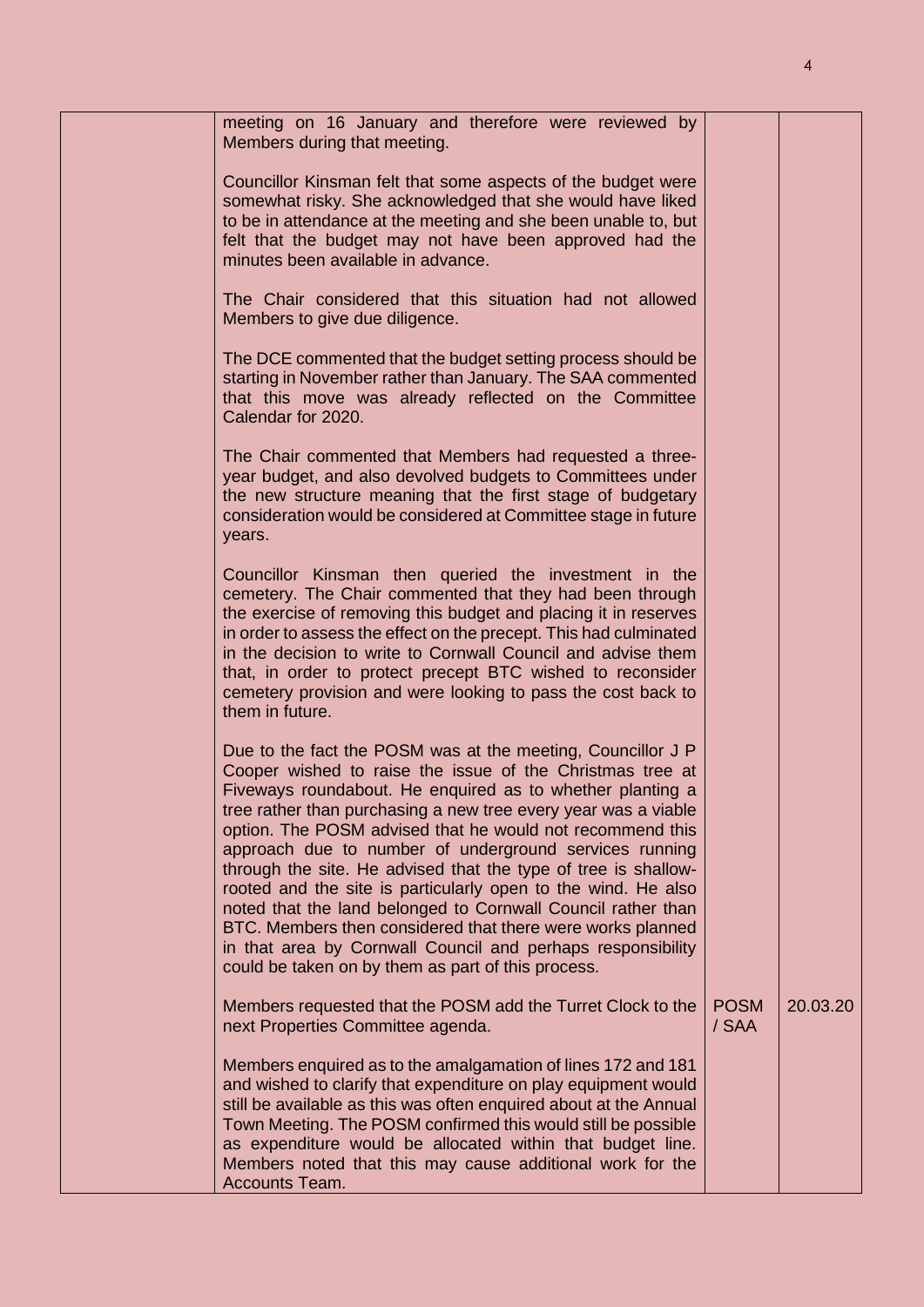| meeting on 16 January and therefore were reviewed by<br>Members during that meeting.                                                                                                                                                                                                                                                                                                                                                                                                                                                                                                                                                                                                                                                                                 |                      |          |
|----------------------------------------------------------------------------------------------------------------------------------------------------------------------------------------------------------------------------------------------------------------------------------------------------------------------------------------------------------------------------------------------------------------------------------------------------------------------------------------------------------------------------------------------------------------------------------------------------------------------------------------------------------------------------------------------------------------------------------------------------------------------|----------------------|----------|
| Councillor Kinsman felt that some aspects of the budget were<br>somewhat risky. She acknowledged that she would have liked<br>to be in attendance at the meeting and she been unable to, but<br>felt that the budget may not have been approved had the<br>minutes been available in advance.                                                                                                                                                                                                                                                                                                                                                                                                                                                                        |                      |          |
| The Chair considered that this situation had not allowed<br>Members to give due diligence.                                                                                                                                                                                                                                                                                                                                                                                                                                                                                                                                                                                                                                                                           |                      |          |
| The DCE commented that the budget setting process should be<br>starting in November rather than January. The SAA commented<br>that this move was already reflected on the Committee<br>Calendar for 2020.                                                                                                                                                                                                                                                                                                                                                                                                                                                                                                                                                            |                      |          |
| The Chair commented that Members had requested a three-<br>year budget, and also devolved budgets to Committees under<br>the new structure meaning that the first stage of budgetary<br>consideration would be considered at Committee stage in future<br>years.                                                                                                                                                                                                                                                                                                                                                                                                                                                                                                     |                      |          |
| Councillor Kinsman then queried the investment in the<br>cemetery. The Chair commented that they had been through<br>the exercise of removing this budget and placing it in reserves<br>in order to assess the effect on the precept. This had culminated<br>in the decision to write to Cornwall Council and advise them<br>that, in order to protect precept BTC wished to reconsider<br>cemetery provision and were looking to pass the cost back to<br>them in future.                                                                                                                                                                                                                                                                                           |                      |          |
| Due to the fact the POSM was at the meeting, Councillor J P<br>Cooper wished to raise the issue of the Christmas tree at<br>Fiveways roundabout. He enquired as to whether planting a<br>tree rather than purchasing a new tree every year was a viable<br>option. The POSM advised that he would not recommend this<br>approach due to number of underground services running<br>through the site. He advised that the type of tree is shallow-<br>rooted and the site is particularly open to the wind. He also<br>noted that the land belonged to Cornwall Council rather than<br>BTC. Members then considered that there were works planned<br>in that area by Cornwall Council and perhaps responsibility<br>could be taken on by them as part of this process. |                      |          |
| Members requested that the POSM add the Turret Clock to the<br>next Properties Committee agenda.                                                                                                                                                                                                                                                                                                                                                                                                                                                                                                                                                                                                                                                                     | <b>POSM</b><br>/ SAA | 20.03.20 |
| Members enquired as to the amalgamation of lines 172 and 181<br>and wished to clarify that expenditure on play equipment would<br>still be available as this was often enquired about at the Annual<br>Town Meeting. The POSM confirmed this would still be possible<br>as expenditure would be allocated within that budget line.<br>Members noted that this may cause additional work for the<br>Accounts Team.                                                                                                                                                                                                                                                                                                                                                    |                      |          |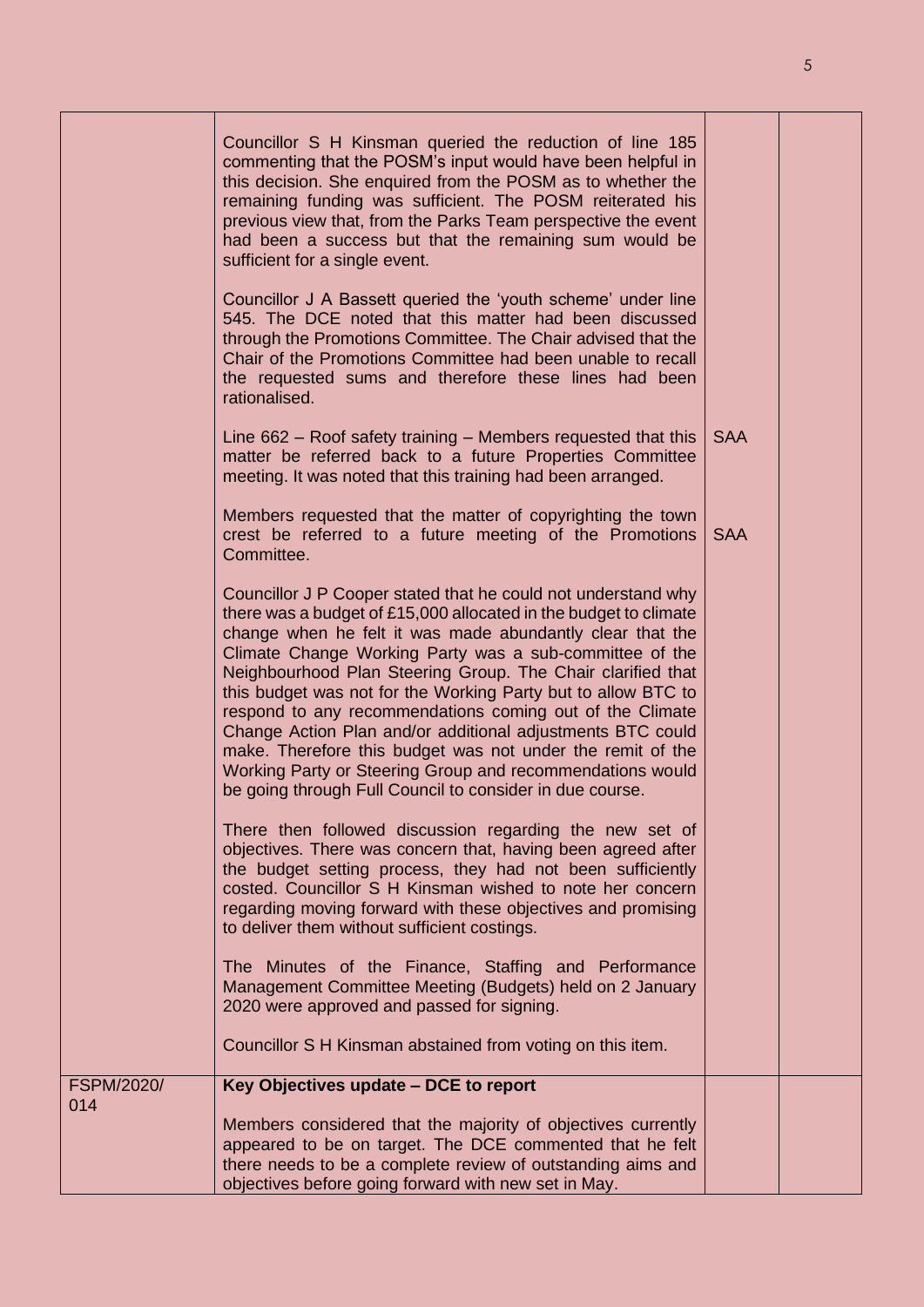|                          | Councillor S H Kinsman queried the reduction of line 185<br>commenting that the POSM's input would have been helpful in<br>this decision. She enquired from the POSM as to whether the<br>remaining funding was sufficient. The POSM reiterated his<br>previous view that, from the Parks Team perspective the event<br>had been a success but that the remaining sum would be<br>sufficient for a single event.<br>Councillor J A Bassett queried the 'youth scheme' under line<br>545. The DCE noted that this matter had been discussed<br>through the Promotions Committee. The Chair advised that the<br>Chair of the Promotions Committee had been unable to recall<br>the requested sums and therefore these lines had been<br>rationalised. |            |  |
|--------------------------|-----------------------------------------------------------------------------------------------------------------------------------------------------------------------------------------------------------------------------------------------------------------------------------------------------------------------------------------------------------------------------------------------------------------------------------------------------------------------------------------------------------------------------------------------------------------------------------------------------------------------------------------------------------------------------------------------------------------------------------------------------|------------|--|
|                          | Line $662$ – Roof safety training – Members requested that this<br>matter be referred back to a future Properties Committee<br>meeting. It was noted that this training had been arranged.                                                                                                                                                                                                                                                                                                                                                                                                                                                                                                                                                          | <b>SAA</b> |  |
|                          | Members requested that the matter of copyrighting the town<br>crest be referred to a future meeting of the Promotions<br>Committee.                                                                                                                                                                                                                                                                                                                                                                                                                                                                                                                                                                                                                 | <b>SAA</b> |  |
|                          | Councillor J P Cooper stated that he could not understand why<br>there was a budget of £15,000 allocated in the budget to climate<br>change when he felt it was made abundantly clear that the<br>Climate Change Working Party was a sub-committee of the<br>Neighbourhood Plan Steering Group. The Chair clarified that<br>this budget was not for the Working Party but to allow BTC to<br>respond to any recommendations coming out of the Climate<br>Change Action Plan and/or additional adjustments BTC could<br>make. Therefore this budget was not under the remit of the<br>Working Party or Steering Group and recommendations would<br>be going through Full Council to consider in due course.                                          |            |  |
|                          | There then followed discussion regarding the new set of<br>objectives. There was concern that, having been agreed after<br>the budget setting process, they had not been sufficiently<br>costed. Councillor S H Kinsman wished to note her concern<br>regarding moving forward with these objectives and promising<br>to deliver them without sufficient costings.                                                                                                                                                                                                                                                                                                                                                                                  |            |  |
|                          | The Minutes of the Finance, Staffing and Performance<br>Management Committee Meeting (Budgets) held on 2 January<br>2020 were approved and passed for signing.                                                                                                                                                                                                                                                                                                                                                                                                                                                                                                                                                                                      |            |  |
|                          | Councillor S H Kinsman abstained from voting on this item.                                                                                                                                                                                                                                                                                                                                                                                                                                                                                                                                                                                                                                                                                          |            |  |
| <b>FSPM/2020/</b><br>014 | Key Objectives update - DCE to report                                                                                                                                                                                                                                                                                                                                                                                                                                                                                                                                                                                                                                                                                                               |            |  |
|                          | Members considered that the majority of objectives currently<br>appeared to be on target. The DCE commented that he felt<br>there needs to be a complete review of outstanding aims and<br>objectives before going forward with new set in May.                                                                                                                                                                                                                                                                                                                                                                                                                                                                                                     |            |  |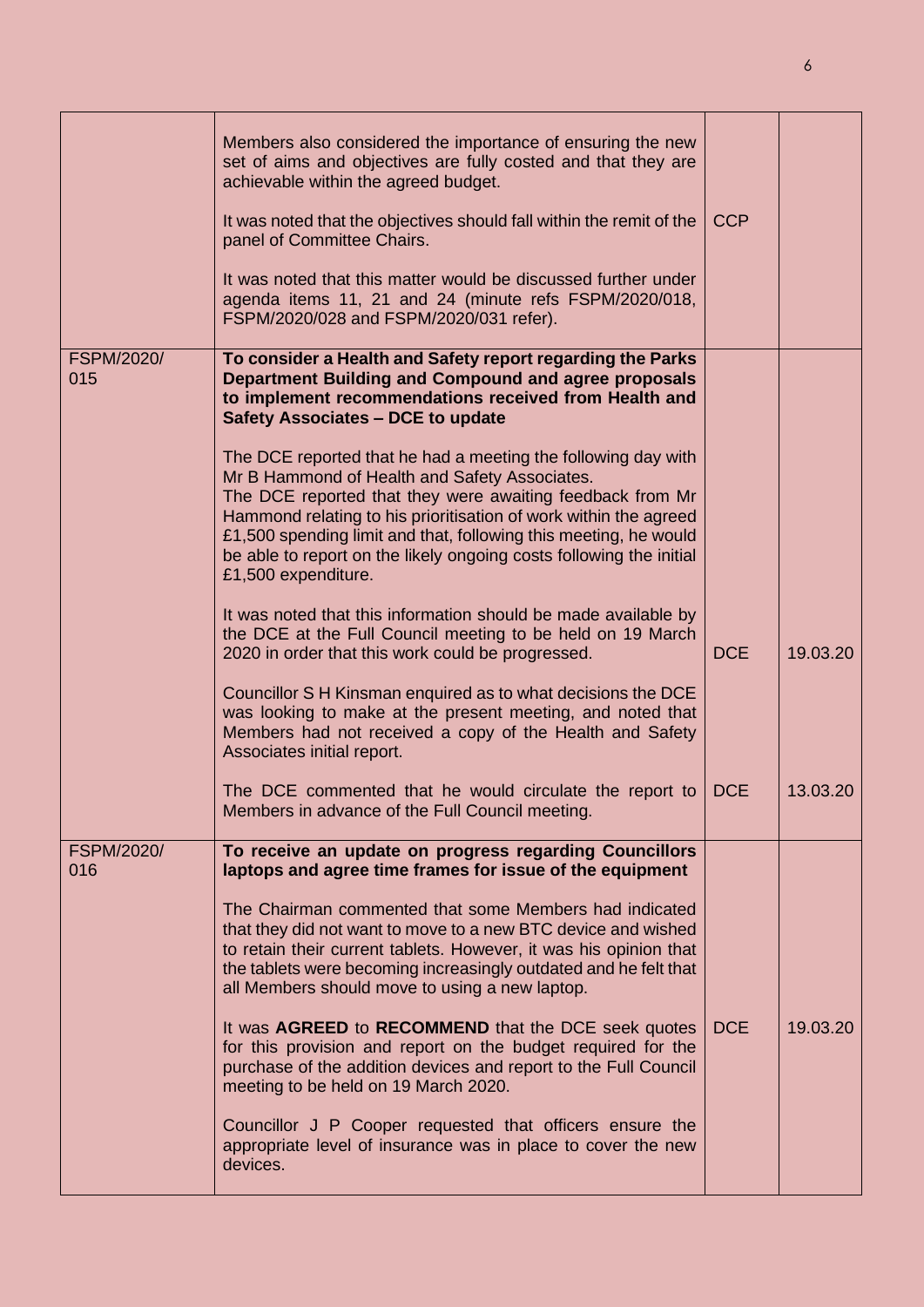|                          | Members also considered the importance of ensuring the new<br>set of aims and objectives are fully costed and that they are<br>achievable within the agreed budget.<br>It was noted that the objectives should fall within the remit of the<br>panel of Committee Chairs.<br>It was noted that this matter would be discussed further under<br>agenda items 11, 21 and 24 (minute refs FSPM/2020/018,<br>FSPM/2020/028 and FSPM/2020/031 refer).                                                                                                                                                                                                                                                                                                                                                                                                                                                                                                                                                                                                                                                                     | <b>CCP</b>               |                      |
|--------------------------|----------------------------------------------------------------------------------------------------------------------------------------------------------------------------------------------------------------------------------------------------------------------------------------------------------------------------------------------------------------------------------------------------------------------------------------------------------------------------------------------------------------------------------------------------------------------------------------------------------------------------------------------------------------------------------------------------------------------------------------------------------------------------------------------------------------------------------------------------------------------------------------------------------------------------------------------------------------------------------------------------------------------------------------------------------------------------------------------------------------------|--------------------------|----------------------|
| <b>FSPM/2020/</b><br>015 | To consider a Health and Safety report regarding the Parks<br>Department Building and Compound and agree proposals<br>to implement recommendations received from Health and<br><b>Safety Associates - DCE to update</b><br>The DCE reported that he had a meeting the following day with<br>Mr B Hammond of Health and Safety Associates.<br>The DCE reported that they were awaiting feedback from Mr<br>Hammond relating to his prioritisation of work within the agreed<br>£1,500 spending limit and that, following this meeting, he would<br>be able to report on the likely ongoing costs following the initial<br>£1,500 expenditure.<br>It was noted that this information should be made available by<br>the DCE at the Full Council meeting to be held on 19 March<br>2020 in order that this work could be progressed.<br>Councillor S H Kinsman enquired as to what decisions the DCE<br>was looking to make at the present meeting, and noted that<br>Members had not received a copy of the Health and Safety<br>Associates initial report.<br>The DCE commented that he would circulate the report to | <b>DCE</b><br><b>DCE</b> | 19.03.20<br>13.03.20 |
|                          | Members in advance of the Full Council meeting.                                                                                                                                                                                                                                                                                                                                                                                                                                                                                                                                                                                                                                                                                                                                                                                                                                                                                                                                                                                                                                                                      |                          |                      |
| <b>FSPM/2020/</b><br>016 | To receive an update on progress regarding Councillors<br>laptops and agree time frames for issue of the equipment<br>The Chairman commented that some Members had indicated<br>that they did not want to move to a new BTC device and wished<br>to retain their current tablets. However, it was his opinion that<br>the tablets were becoming increasingly outdated and he felt that<br>all Members should move to using a new laptop.<br>It was AGREED to RECOMMEND that the DCE seek quotes<br>for this provision and report on the budget required for the<br>purchase of the addition devices and report to the Full Council<br>meeting to be held on 19 March 2020.<br>Councillor J P Cooper requested that officers ensure the<br>appropriate level of insurance was in place to cover the new<br>devices.                                                                                                                                                                                                                                                                                                   | <b>DCE</b>               | 19.03.20             |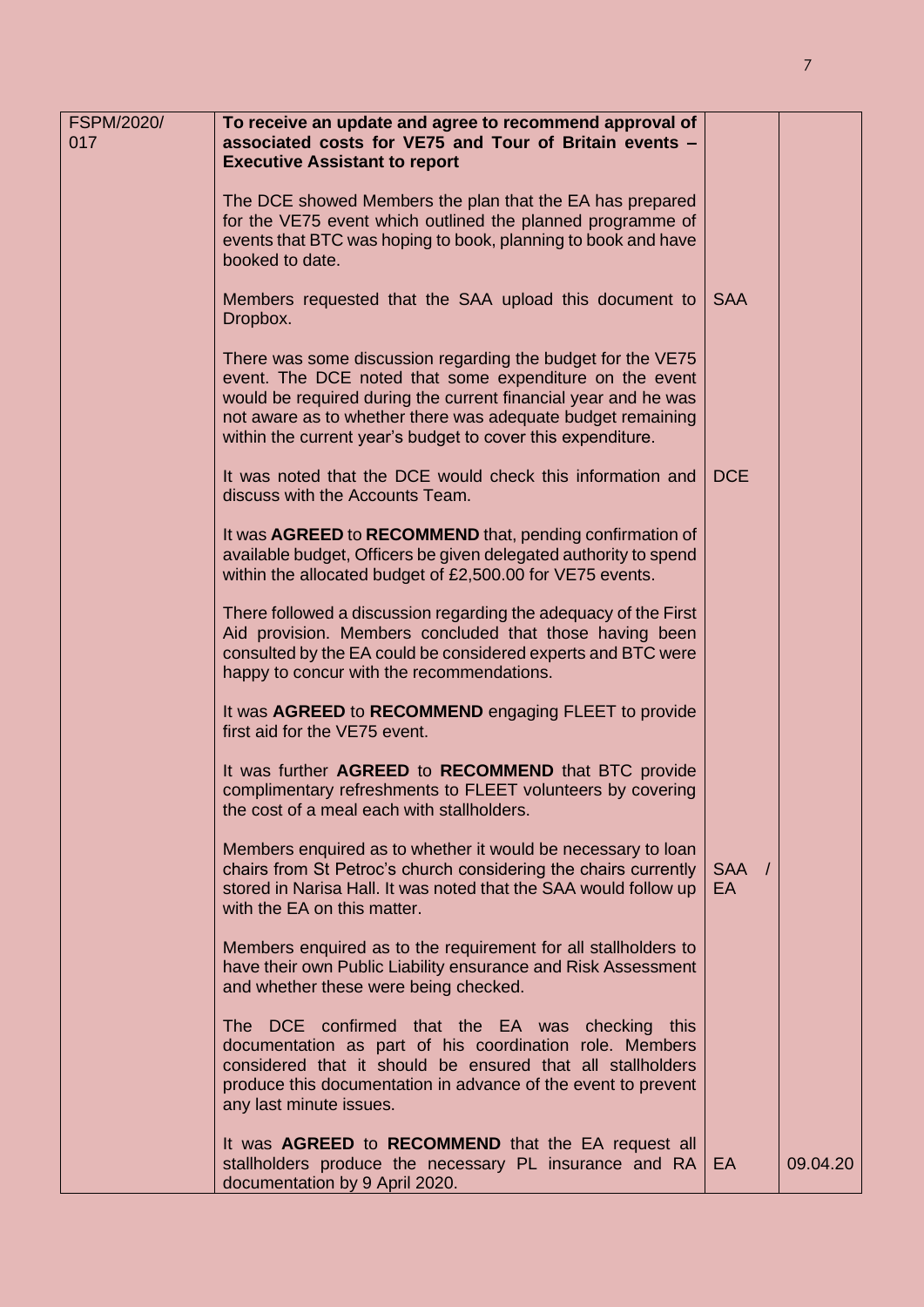| FSPM/2020/<br>017 | To receive an update and agree to recommend approval of<br>associated costs for VE75 and Tour of Britain events -                                                                                                                                                                                                      |                    |          |
|-------------------|------------------------------------------------------------------------------------------------------------------------------------------------------------------------------------------------------------------------------------------------------------------------------------------------------------------------|--------------------|----------|
|                   | <b>Executive Assistant to report</b><br>The DCE showed Members the plan that the EA has prepared<br>for the VE75 event which outlined the planned programme of<br>events that BTC was hoping to book, planning to book and have<br>booked to date.                                                                     |                    |          |
|                   | Members requested that the SAA upload this document to<br>Dropbox.                                                                                                                                                                                                                                                     | <b>SAA</b>         |          |
|                   | There was some discussion regarding the budget for the VE75<br>event. The DCE noted that some expenditure on the event<br>would be required during the current financial year and he was<br>not aware as to whether there was adequate budget remaining<br>within the current year's budget to cover this expenditure. |                    |          |
|                   | It was noted that the DCE would check this information and<br>discuss with the Accounts Team.                                                                                                                                                                                                                          | <b>DCE</b>         |          |
|                   | It was AGREED to RECOMMEND that, pending confirmation of<br>available budget, Officers be given delegated authority to spend<br>within the allocated budget of £2,500.00 for VE75 events.                                                                                                                              |                    |          |
|                   | There followed a discussion regarding the adequacy of the First<br>Aid provision. Members concluded that those having been<br>consulted by the EA could be considered experts and BTC were<br>happy to concur with the recommendations.                                                                                |                    |          |
|                   | It was AGREED to RECOMMEND engaging FLEET to provide<br>first aid for the VE75 event.                                                                                                                                                                                                                                  |                    |          |
|                   | It was further AGREED to RECOMMEND that BTC provide<br>complimentary refreshments to FLEET volunteers by covering<br>the cost of a meal each with stallholders.                                                                                                                                                        |                    |          |
|                   | Members enquired as to whether it would be necessary to loan<br>chairs from St Petroc's church considering the chairs currently<br>stored in Narisa Hall. It was noted that the SAA would follow up<br>with the EA on this matter.                                                                                     | SAA /<br><b>EA</b> |          |
|                   | Members enquired as to the requirement for all stallholders to<br>have their own Public Liability ensurance and Risk Assessment<br>and whether these were being checked.                                                                                                                                               |                    |          |
|                   | The DCE confirmed that the EA was checking this<br>documentation as part of his coordination role. Members<br>considered that it should be ensured that all stallholders<br>produce this documentation in advance of the event to prevent<br>any last minute issues.                                                   |                    |          |
|                   | It was <b>AGREED</b> to <b>RECOMMEND</b> that the EA request all<br>stallholders produce the necessary PL insurance and RA<br>documentation by 9 April 2020.                                                                                                                                                           | EA                 | 09.04.20 |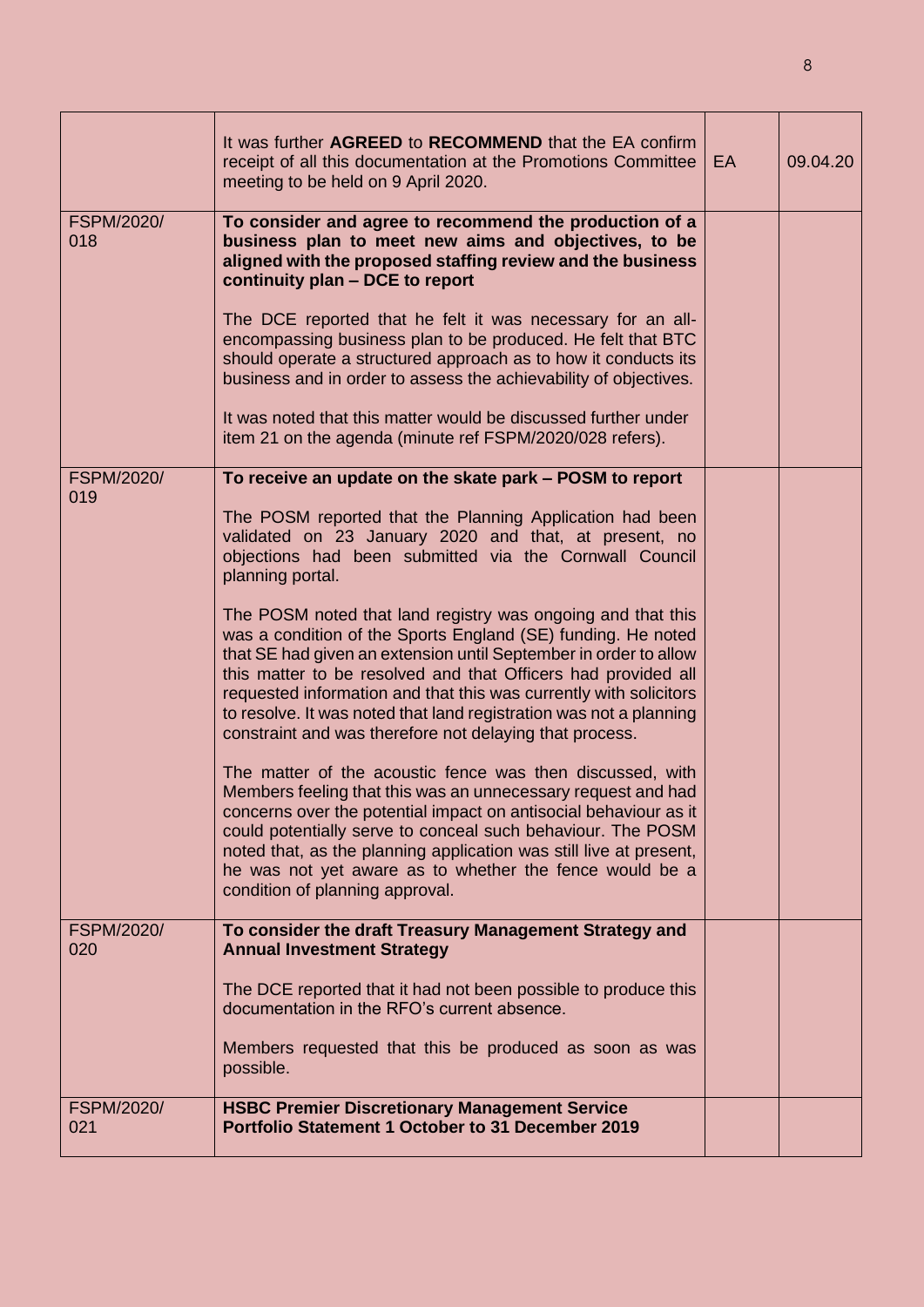|                          | It was further AGREED to RECOMMEND that the EA confirm<br>receipt of all this documentation at the Promotions Committee<br>meeting to be held on 9 April 2020.                                                                                                                                                                                                                                                                                                         | EA | 09.04.20 |
|--------------------------|------------------------------------------------------------------------------------------------------------------------------------------------------------------------------------------------------------------------------------------------------------------------------------------------------------------------------------------------------------------------------------------------------------------------------------------------------------------------|----|----------|
| <b>FSPM/2020/</b><br>018 | To consider and agree to recommend the production of a<br>business plan to meet new aims and objectives, to be<br>aligned with the proposed staffing review and the business<br>continuity plan - DCE to report                                                                                                                                                                                                                                                        |    |          |
|                          | The DCE reported that he felt it was necessary for an all-<br>encompassing business plan to be produced. He felt that BTC<br>should operate a structured approach as to how it conducts its<br>business and in order to assess the achievability of objectives.                                                                                                                                                                                                        |    |          |
|                          | It was noted that this matter would be discussed further under<br>item 21 on the agenda (minute ref FSPM/2020/028 refers).                                                                                                                                                                                                                                                                                                                                             |    |          |
| <b>FSPM/2020/</b>        | To receive an update on the skate park - POSM to report                                                                                                                                                                                                                                                                                                                                                                                                                |    |          |
| 019                      | The POSM reported that the Planning Application had been<br>validated on 23 January 2020 and that, at present, no<br>objections had been submitted via the Cornwall Council<br>planning portal.                                                                                                                                                                                                                                                                        |    |          |
|                          | The POSM noted that land registry was ongoing and that this<br>was a condition of the Sports England (SE) funding. He noted<br>that SE had given an extension until September in order to allow<br>this matter to be resolved and that Officers had provided all<br>requested information and that this was currently with solicitors<br>to resolve. It was noted that land registration was not a planning<br>constraint and was therefore not delaying that process. |    |          |
|                          | The matter of the acoustic fence was then discussed, with<br>Members feeling that this was an unnecessary request and had<br>concerns over the potential impact on antisocial behaviour as it<br>could potentially serve to conceal such behaviour. The POSM<br>noted that, as the planning application was still live at present,<br>he was not yet aware as to whether the fence would be a<br>condition of planning approval.                                       |    |          |
| <b>FSPM/2020/</b><br>020 | To consider the draft Treasury Management Strategy and                                                                                                                                                                                                                                                                                                                                                                                                                 |    |          |
|                          | <b>Annual Investment Strategy</b><br>The DCE reported that it had not been possible to produce this<br>documentation in the RFO's current absence.                                                                                                                                                                                                                                                                                                                     |    |          |
|                          | Members requested that this be produced as soon as was<br>possible.                                                                                                                                                                                                                                                                                                                                                                                                    |    |          |
| <b>FSPM/2020/</b><br>021 | <b>HSBC Premier Discretionary Management Service</b><br><b>Portfolio Statement 1 October to 31 December 2019</b>                                                                                                                                                                                                                                                                                                                                                       |    |          |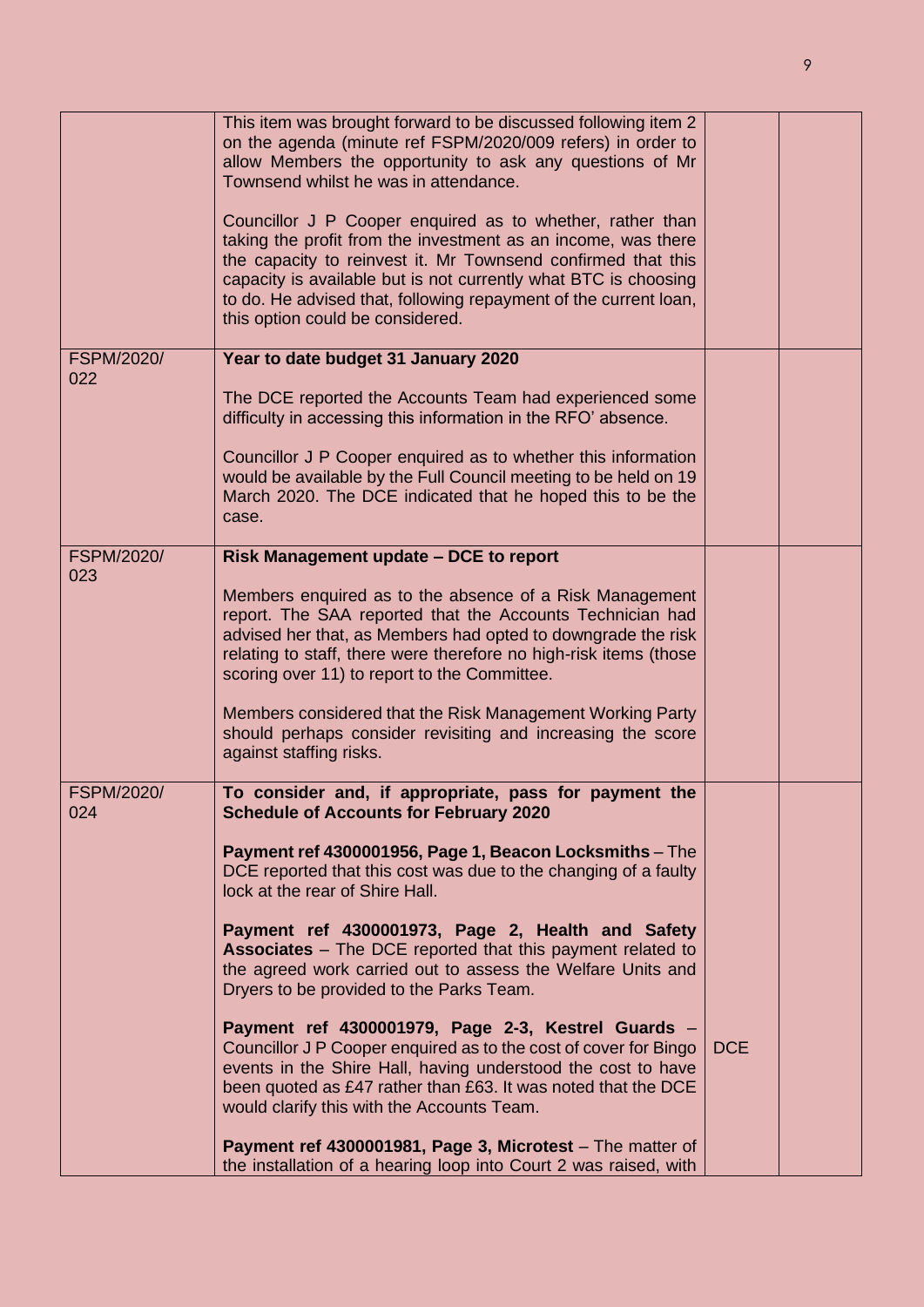|                          | This item was brought forward to be discussed following item 2<br>on the agenda (minute ref FSPM/2020/009 refers) in order to<br>allow Members the opportunity to ask any questions of Mr<br>Townsend whilst he was in attendance.<br>Councillor J P Cooper enquired as to whether, rather than<br>taking the profit from the investment as an income, was there<br>the capacity to reinvest it. Mr Townsend confirmed that this<br>capacity is available but is not currently what BTC is choosing<br>to do. He advised that, following repayment of the current loan,<br>this option could be considered. |            |  |
|--------------------------|-------------------------------------------------------------------------------------------------------------------------------------------------------------------------------------------------------------------------------------------------------------------------------------------------------------------------------------------------------------------------------------------------------------------------------------------------------------------------------------------------------------------------------------------------------------------------------------------------------------|------------|--|
| <b>FSPM/2020/</b>        | Year to date budget 31 January 2020                                                                                                                                                                                                                                                                                                                                                                                                                                                                                                                                                                         |            |  |
| 022                      | The DCE reported the Accounts Team had experienced some<br>difficulty in accessing this information in the RFO' absence.<br>Councillor J P Cooper enquired as to whether this information<br>would be available by the Full Council meeting to be held on 19<br>March 2020. The DCE indicated that he hoped this to be the<br>case.                                                                                                                                                                                                                                                                         |            |  |
| <b>FSPM/2020/</b>        | Risk Management update - DCE to report                                                                                                                                                                                                                                                                                                                                                                                                                                                                                                                                                                      |            |  |
| 023                      | Members enquired as to the absence of a Risk Management<br>report. The SAA reported that the Accounts Technician had<br>advised her that, as Members had opted to downgrade the risk<br>relating to staff, there were therefore no high-risk items (those<br>scoring over 11) to report to the Committee.<br>Members considered that the Risk Management Working Party<br>should perhaps consider revisiting and increasing the score<br>against staffing risks.                                                                                                                                            |            |  |
| <b>FSPM/2020/</b><br>024 | To consider and, if appropriate, pass for payment the<br><b>Schedule of Accounts for February 2020</b>                                                                                                                                                                                                                                                                                                                                                                                                                                                                                                      |            |  |
|                          | Payment ref 4300001956, Page 1, Beacon Locksmiths - The<br>DCE reported that this cost was due to the changing of a faulty<br>lock at the rear of Shire Hall.                                                                                                                                                                                                                                                                                                                                                                                                                                               |            |  |
|                          | Payment ref 4300001973, Page 2, Health and Safety<br><b>Associates</b> – The DCE reported that this payment related to<br>the agreed work carried out to assess the Welfare Units and<br>Dryers to be provided to the Parks Team.                                                                                                                                                                                                                                                                                                                                                                           |            |  |
|                          | Payment ref 4300001979, Page 2-3, Kestrel Guards -<br>Councillor J P Cooper enquired as to the cost of cover for Bingo<br>events in the Shire Hall, having understood the cost to have<br>been quoted as £47 rather than £63. It was noted that the DCE<br>would clarify this with the Accounts Team.                                                                                                                                                                                                                                                                                                       | <b>DCE</b> |  |
|                          | Payment ref 4300001981, Page 3, Microtest - The matter of<br>the installation of a hearing loop into Court 2 was raised, with                                                                                                                                                                                                                                                                                                                                                                                                                                                                               |            |  |